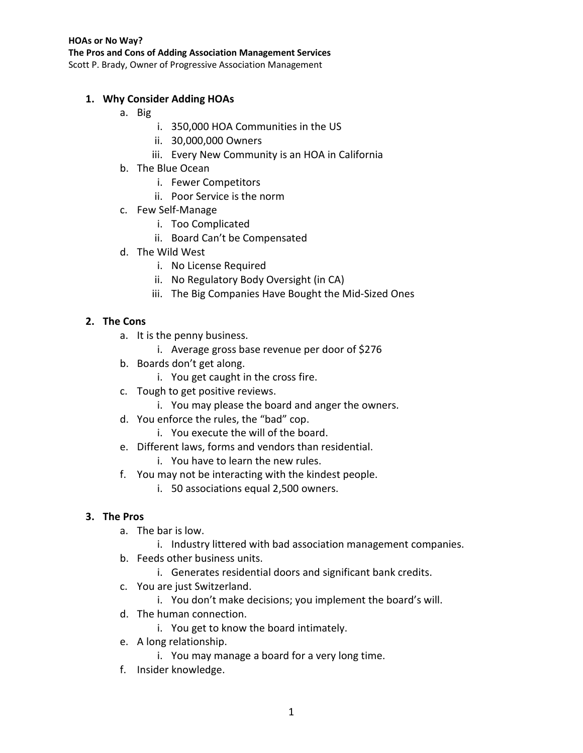## **1. Why Consider Adding HOAs**

- a. Big
	- i. 350,000 HOA Communities in the US
	- ii. 30,000,000 Owners
	- iii. Every New Community is an HOA in California
- b. The Blue Ocean
	- i. Fewer Competitors
	- ii. Poor Service is the norm
- c. Few Self-Manage
	- i. Too Complicated
	- ii. Board Can't be Compensated
- d. The Wild West
	- i. No License Required
	- ii. No Regulatory Body Oversight (in CA)
	- iii. The Big Companies Have Bought the Mid-Sized Ones

# **2. The Cons**

- a. It is the penny business.
	- i. Average gross base revenue per door of \$276
- b. Boards don't get along.
	- i. You get caught in the cross fire.
- c. Tough to get positive reviews.
	- i. You may please the board and anger the owners.
- d. You enforce the rules, the "bad" cop.
	- i. You execute the will of the board.
- e. Different laws, forms and vendors than residential.
	- i. You have to learn the new rules.
- f. You may not be interacting with the kindest people.
	- i. 50 associations equal 2,500 owners.

## **3. The Pros**

- a. The bar is low.
	- i. Industry littered with bad association management companies.
- b. Feeds other business units.
	- i. Generates residential doors and significant bank credits.
- c. You are just Switzerland.
	- i. You don't make decisions; you implement the board's will.
- d. The human connection.
	- i. You get to know the board intimately.
- e. A long relationship.
	- i. You may manage a board for a very long time.
- f. Insider knowledge.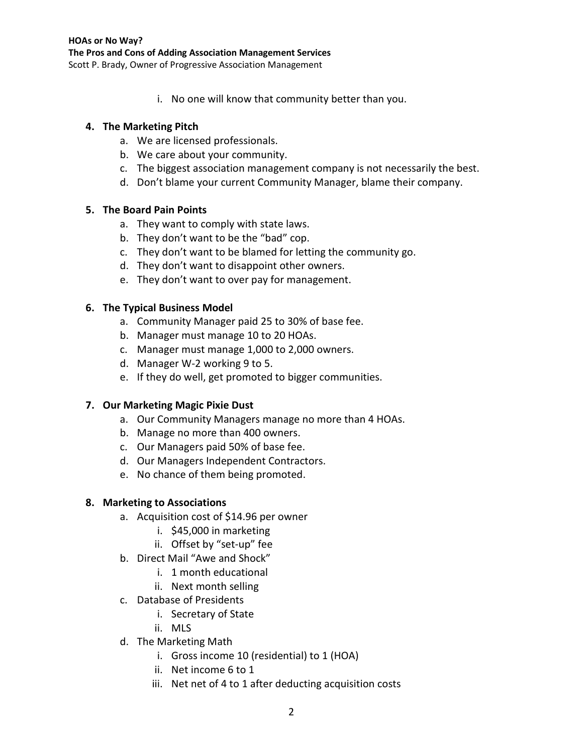i. No one will know that community better than you.

### **4. The Marketing Pitch**

- a. We are licensed professionals.
- b. We care about your community.
- c. The biggest association management company is not necessarily the best.
- d. Don't blame your current Community Manager, blame their company.

### **5. The Board Pain Points**

- a. They want to comply with state laws.
- b. They don't want to be the "bad" cop.
- c. They don't want to be blamed for letting the community go.
- d. They don't want to disappoint other owners.
- e. They don't want to over pay for management.

## **6. The Typical Business Model**

- a. Community Manager paid 25 to 30% of base fee.
- b. Manager must manage 10 to 20 HOAs.
- c. Manager must manage 1,000 to 2,000 owners.
- d. Manager W-2 working 9 to 5.
- e. If they do well, get promoted to bigger communities.

## **7. Our Marketing Magic Pixie Dust**

- a. Our Community Managers manage no more than 4 HOAs.
- b. Manage no more than 400 owners.
- c. Our Managers paid 50% of base fee.
- d. Our Managers Independent Contractors.
- e. No chance of them being promoted.

### **8. Marketing to Associations**

- a. Acquisition cost of \$14.96 per owner
	- i. \$45,000 in marketing
	- ii. Offset by "set-up" fee
- b. Direct Mail "Awe and Shock"
	- i. 1 month educational
	- ii. Next month selling
- c. Database of Presidents
	- i. Secretary of State
	- ii. MLS
- d. The Marketing Math
	- i. Gross income 10 (residential) to 1 (HOA)
	- ii. Net income 6 to 1
	- iii. Net net of 4 to 1 after deducting acquisition costs